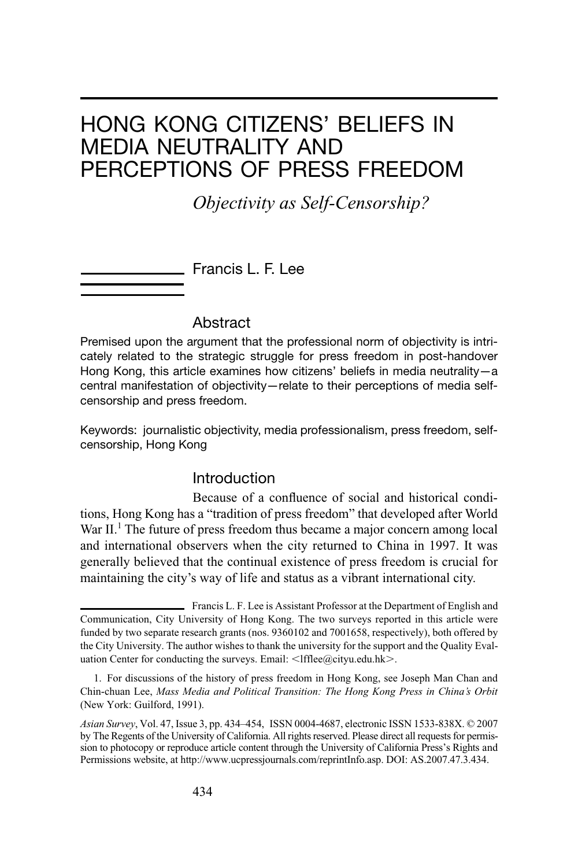# HONG KONG CITIZENS' BELIEFS IN MEDIA NEUTRALITY AND PERCEPTIONS OF PRESS FREEDOM

*Objectivity as Self-Censorship?*

Francis L. F. Lee

## Abstract

Premised upon the argument that the professional norm of objectivity is intricately related to the strategic struggle for press freedom in post-handover Hong Kong, this article examines how citizens' beliefs in media neutrality—a central manifestation of objectivity—relate to their perceptions of media selfcensorship and press freedom.

Keywords: journalistic objectivity, media professionalism, press freedom, selfcensorship, Hong Kong

## Introduction

Because of a confluence of social and historical conditions, Hong Kong has a "tradition of press freedom" that developed after World War II.<sup>1</sup> The future of press freedom thus became a major concern among local and international observers when the city returned to China in 1997. It was generally believed that the continual existence of press freedom is crucial for maintaining the city's way of life and status as a vibrant international city.

Francis L. F. Lee is Assistant Professor at the Department of English and Communication, City University of Hong Kong. The two surveys reported in this article were funded by two separate research grants (nos. 9360102 and 7001658, respectively), both offered by the City University. The author wishes to thank the university for the support and the Quality Evaluation Center for conducting the surveys. Email: <lfflee@cityu.edu.hk>.

<sup>1.</sup> For discussions of the history of press freedom in Hong Kong, see Joseph Man Chan and Chin-chuan Lee, *Mass Media and Political Transition: The Hong Kong Press in China's Orbit* (New York: Guilford, 1991).

*Asian Survey*, Vol. 47, Issue 3, pp. 434–454, ISSN 0004-4687, electronic ISSN 1533-838X. © 2007 by The Regents of the University of California. All rights reserved. Please direct all requests for permission to photocopy or reproduce article content through the University of California Press's Rights and Permissions website, at http://www.ucpressjournals.com/reprintInfo.asp. DOI: AS.2007.47.3.434.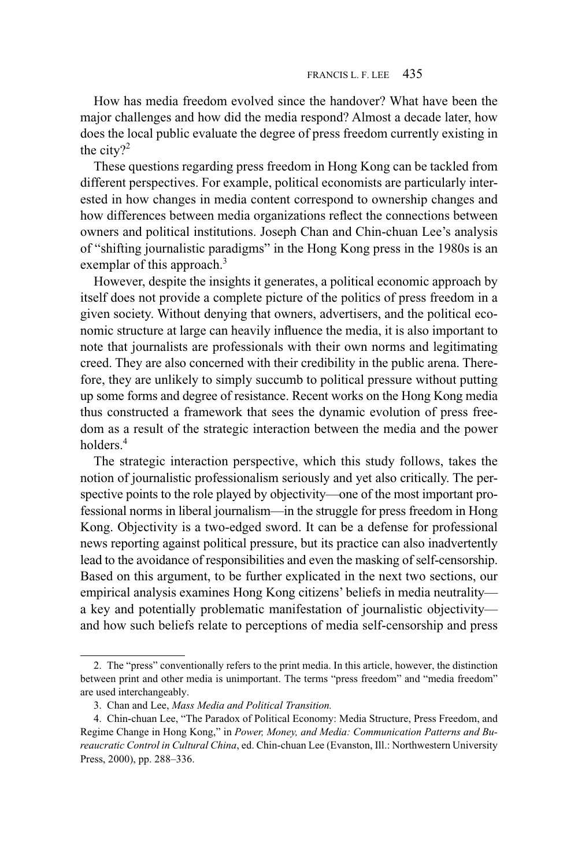How has media freedom evolved since the handover? What have been the major challenges and how did the media respond? Almost a decade later, how does the local public evaluate the degree of press freedom currently existing in the city?<sup>2</sup>

These questions regarding press freedom in Hong Kong can be tackled from different perspectives. For example, political economists are particularly interested in how changes in media content correspond to ownership changes and how differences between media organizations reflect the connections between owners and political institutions. Joseph Chan and Chin-chuan Lee's analysis of "shifting journalistic paradigms" in the Hong Kong press in the 1980s is an exemplar of this approach. $3$ 

However, despite the insights it generates, a political economic approach by itself does not provide a complete picture of the politics of press freedom in a given society. Without denying that owners, advertisers, and the political economic structure at large can heavily influence the media, it is also important to note that journalists are professionals with their own norms and legitimating creed. They are also concerned with their credibility in the public arena. Therefore, they are unlikely to simply succumb to political pressure without putting up some forms and degree of resistance. Recent works on the Hong Kong media thus constructed a framework that sees the dynamic evolution of press freedom as a result of the strategic interaction between the media and the power holders.<sup>4</sup>

The strategic interaction perspective, which this study follows, takes the notion of journalistic professionalism seriously and yet also critically. The perspective points to the role played by objectivity—one of the most important professional norms in liberal journalism—in the struggle for press freedom in Hong Kong. Objectivity is a two-edged sword. It can be a defense for professional news reporting against political pressure, but its practice can also inadvertently lead to the avoidance of responsibilities and even the masking of self-censorship. Based on this argument, to be further explicated in the next two sections, our empirical analysis examines Hong Kong citizens' beliefs in media neutrality a key and potentially problematic manifestation of journalistic objectivity and how such beliefs relate to perceptions of media self-censorship and press

<sup>2.</sup> The "press" conventionally refers to the print media. In this article, however, the distinction between print and other media is unimportant. The terms "press freedom" and "media freedom" are used interchangeably.

<sup>3.</sup> Chan and Lee, *Mass Media and Political Transition.*

<sup>4.</sup> Chin-chuan Lee, "The Paradox of Political Economy: Media Structure, Press Freedom, and Regime Change in Hong Kong," in *Power, Money, and Media: Communication Patterns and Bureaucratic Control in Cultural China*, ed. Chin-chuan Lee (Evanston, Ill.: Northwestern University Press, 2000), pp. 288–336.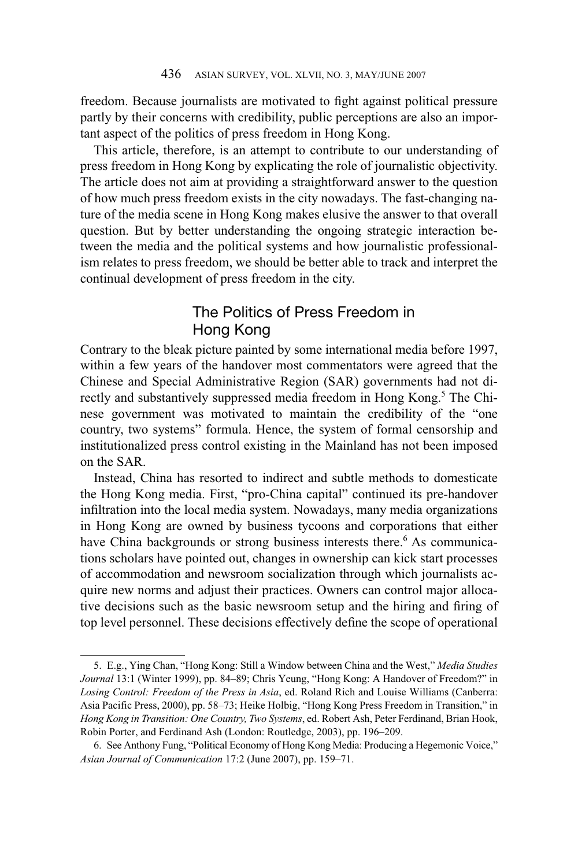freedom. Because journalists are motivated to fight against political pressure partly by their concerns with credibility, public perceptions are also an important aspect of the politics of press freedom in Hong Kong.

This article, therefore, is an attempt to contribute to our understanding of press freedom in Hong Kong by explicating the role of journalistic objectivity. The article does not aim at providing a straightforward answer to the question of how much press freedom exists in the city nowadays. The fast-changing nature of the media scene in Hong Kong makes elusive the answer to that overall question. But by better understanding the ongoing strategic interaction between the media and the political systems and how journalistic professionalism relates to press freedom, we should be better able to track and interpret the continual development of press freedom in the city.

# The Politics of Press Freedom in Hong Kong

Contrary to the bleak picture painted by some international media before 1997, within a few years of the handover most commentators were agreed that the Chinese and Special Administrative Region (SAR) governments had not directly and substantively suppressed media freedom in Hong Kong.<sup>5</sup> The Chinese government was motivated to maintain the credibility of the "one country, two systems" formula. Hence, the system of formal censorship and institutionalized press control existing in the Mainland has not been imposed on the SAR.

Instead, China has resorted to indirect and subtle methods to domesticate the Hong Kong media. First, "pro-China capital" continued its pre-handover infiltration into the local media system. Nowadays, many media organizations in Hong Kong are owned by business tycoons and corporations that either have China backgrounds or strong business interests there.<sup>6</sup> As communications scholars have pointed out, changes in ownership can kick start processes of accommodation and newsroom socialization through which journalists acquire new norms and adjust their practices. Owners can control major allocative decisions such as the basic newsroom setup and the hiring and firing of top level personnel. These decisions effectively define the scope of operational

<sup>5.</sup> E.g., Ying Chan, "Hong Kong: Still a Window between China and the West," *Media Studies Journal* 13:1 (Winter 1999), pp. 84–89; Chris Yeung, "Hong Kong: A Handover of Freedom?" in *Losing Control: Freedom of the Press in Asia*, ed. Roland Rich and Louise Williams (Canberra: Asia Pacific Press, 2000), pp. 58–73; Heike Holbig, "Hong Kong Press Freedom in Transition," in *Hong Kong in Transition: One Country, Two Systems*, ed. Robert Ash, Peter Ferdinand, Brian Hook, Robin Porter, and Ferdinand Ash (London: Routledge, 2003), pp. 196–209.

<sup>6.</sup> See Anthony Fung, "Political Economy of Hong Kong Media: Producing a Hegemonic Voice," *Asian Journal of Communication* 17:2 (June 2007), pp. 159–71.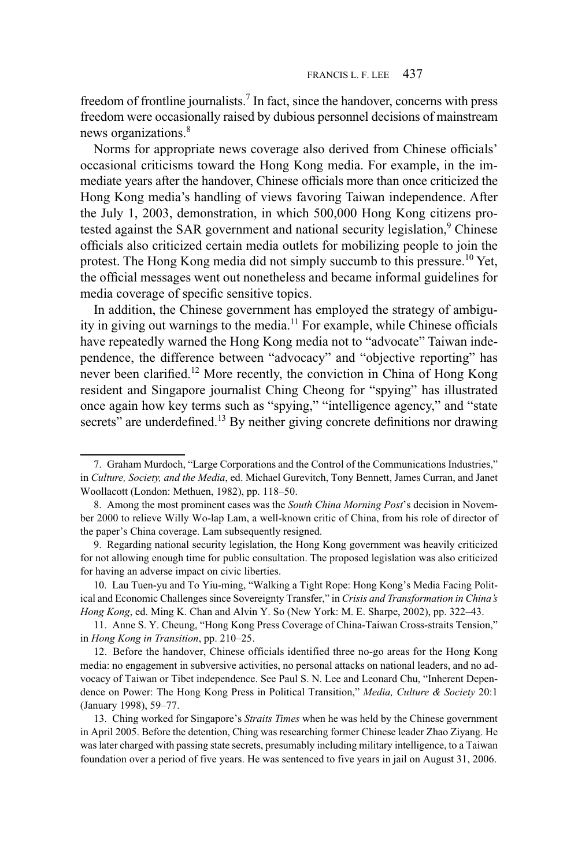#### FRANCIS L. F. LEE 437

freedom of frontline journalists.<sup>7</sup> In fact, since the handover, concerns with press freedom were occasionally raised by dubious personnel decisions of mainstream news organizations.<sup>8</sup>

Norms for appropriate news coverage also derived from Chinese officials' occasional criticisms toward the Hong Kong media. For example, in the immediate years after the handover, Chinese officials more than once criticized the Hong Kong media's handling of views favoring Taiwan independence. After the July 1, 2003, demonstration, in which 500,000 Hong Kong citizens protested against the SAR government and national security legislation,<sup>9</sup> Chinese officials also criticized certain media outlets for mobilizing people to join the protest. The Hong Kong media did not simply succumb to this pressure.<sup>10</sup> Yet, the official messages went out nonetheless and became informal guidelines for media coverage of specific sensitive topics.

In addition, the Chinese government has employed the strategy of ambiguity in giving out warnings to the media.<sup>11</sup> For example, while Chinese officials have repeatedly warned the Hong Kong media not to "advocate" Taiwan independence, the difference between "advocacy" and "objective reporting" has never been clarified.<sup>12</sup> More recently, the conviction in China of Hong Kong resident and Singapore journalist Ching Cheong for "spying" has illustrated once again how key terms such as "spying," "intelligence agency," and "state secrets" are underdefined.<sup>13</sup> By neither giving concrete definitions nor drawing

<sup>7.</sup> Graham Murdoch, "Large Corporations and the Control of the Communications Industries," in *Culture, Society, and the Media*, ed. Michael Gurevitch, Tony Bennett, James Curran, and Janet Woollacott (London: Methuen, 1982), pp. 118–50.

<sup>8.</sup> Among the most prominent cases was the *South China Morning Post*'s decision in November 2000 to relieve Willy Wo-lap Lam, a well-known critic of China, from his role of director of the paper's China coverage. Lam subsequently resigned.

<sup>9.</sup> Regarding national security legislation, the Hong Kong government was heavily criticized for not allowing enough time for public consultation. The proposed legislation was also criticized for having an adverse impact on civic liberties.

<sup>10.</sup> Lau Tuen-yu and To Yiu-ming, "Walking a Tight Rope: Hong Kong's Media Facing Political and Economic Challenges since Sovereignty Transfer," in *Crisis and Transformation in China's Hong Kong*, ed. Ming K. Chan and Alvin Y. So (New York: M. E. Sharpe, 2002), pp. 322–43.

<sup>11.</sup> Anne S. Y. Cheung, "Hong Kong Press Coverage of China-Taiwan Cross-straits Tension," in *Hong Kong in Transition*, pp. 210–25.

<sup>12.</sup> Before the handover, Chinese officials identified three no-go areas for the Hong Kong media: no engagement in subversive activities, no personal attacks on national leaders, and no advocacy of Taiwan or Tibet independence. See Paul S. N. Lee and Leonard Chu, "Inherent Dependence on Power: The Hong Kong Press in Political Transition," *Media, Culture & Society* 20:1 (January 1998), 59–77.

<sup>13.</sup> Ching worked for Singapore's *Straits Times* when he was held by the Chinese government in April 2005. Before the detention, Ching was researching former Chinese leader Zhao Ziyang. He was later charged with passing state secrets, presumably including military intelligence, to a Taiwan foundation over a period of five years. He was sentenced to five years in jail on August 31, 2006.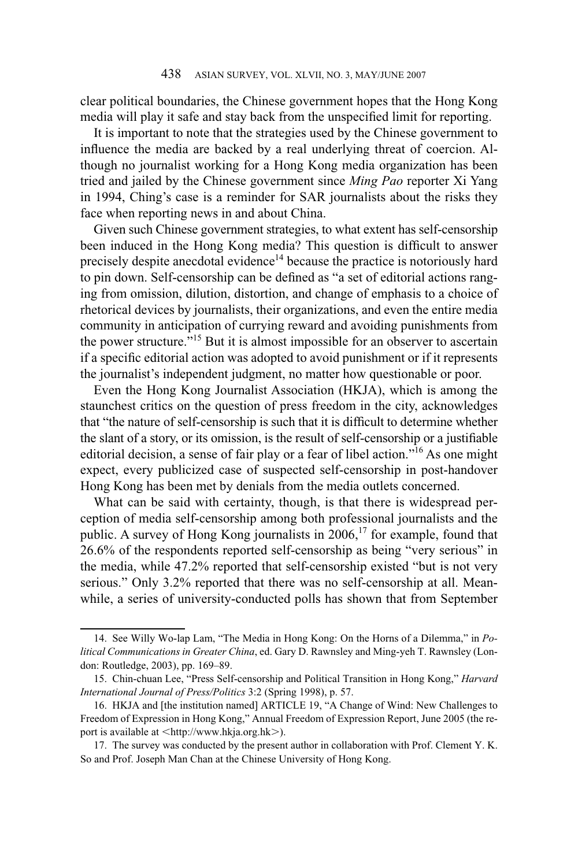clear political boundaries, the Chinese government hopes that the Hong Kong media will play it safe and stay back from the unspecified limit for reporting.

It is important to note that the strategies used by the Chinese government to influence the media are backed by a real underlying threat of coercion. Although no journalist working for a Hong Kong media organization has been tried and jailed by the Chinese government since *Ming Pao* reporter Xi Yang in 1994, Ching's case is a reminder for SAR journalists about the risks they face when reporting news in and about China.

Given such Chinese government strategies, to what extent has self-censorship been induced in the Hong Kong media? This question is difficult to answer precisely despite anecdotal evidence $14$  because the practice is notoriously hard to pin down. Self-censorship can be defined as "a set of editorial actions ranging from omission, dilution, distortion, and change of emphasis to a choice of rhetorical devices by journalists, their organizations, and even the entire media community in anticipation of currying reward and avoiding punishments from the power structure."<sup>15</sup> But it is almost impossible for an observer to ascertain if a specific editorial action was adopted to avoid punishment or if it represents the journalist's independent judgment, no matter how questionable or poor.

Even the Hong Kong Journalist Association (HKJA), which is among the staunchest critics on the question of press freedom in the city, acknowledges that "the nature of self-censorship is such that it is difficult to determine whether the slant of a story, or its omission, is the result of self-censorship or a justifiable editorial decision, a sense of fair play or a fear of libel action."16 As one might expect, every publicized case of suspected self-censorship in post-handover Hong Kong has been met by denials from the media outlets concerned.

What can be said with certainty, though, is that there is widespread perception of media self-censorship among both professional journalists and the public. A survey of Hong Kong journalists in  $2006$ ,<sup>17</sup> for example, found that 26.6% of the respondents reported self-censorship as being "very serious" in the media, while 47.2% reported that self-censorship existed "but is not very serious." Only 3.2% reported that there was no self-censorship at all. Meanwhile, a series of university-conducted polls has shown that from September

<sup>14.</sup> See Willy Wo-lap Lam, "The Media in Hong Kong: On the Horns of a Dilemma," in *Political Communications in Greater China*, ed. Gary D. Rawnsley and Ming-yeh T. Rawnsley (London: Routledge, 2003), pp. 169–89.

<sup>15.</sup> Chin-chuan Lee, "Press Self-censorship and Political Transition in Hong Kong," *Harvard International Journal of Press/Politics* 3:2 (Spring 1998), p. 57.

<sup>16.</sup> HKJA and [the institution named] ARTICLE 19, "A Change of Wind: New Challenges to Freedom of Expression in Hong Kong," Annual Freedom of Expression Report, June 2005 (the report is available at <http://www.hkja.org.hk>).

<sup>17.</sup> The survey was conducted by the present author in collaboration with Prof. Clement Y. K. So and Prof. Joseph Man Chan at the Chinese University of Hong Kong.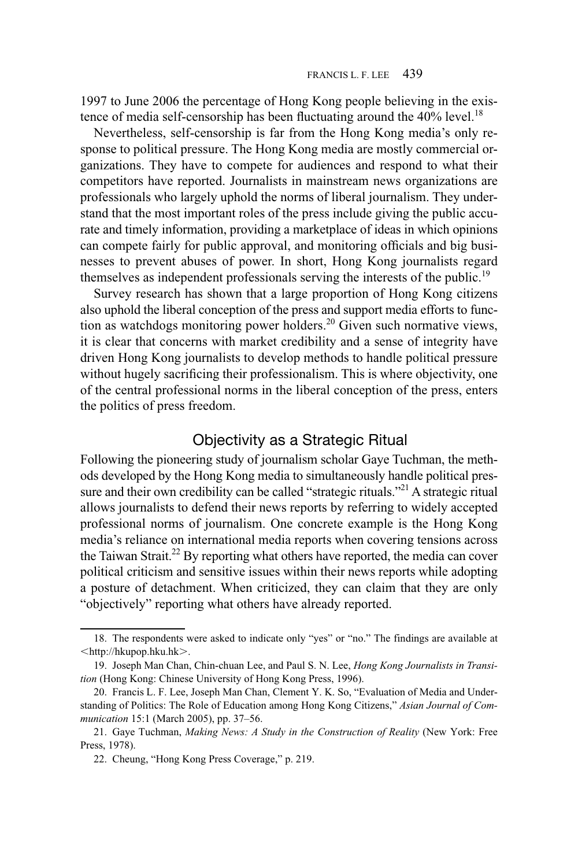1997 to June 2006 the percentage of Hong Kong people believing in the existence of media self-censorship has been fluctuating around the  $40\%$  level.<sup>18</sup>

Nevertheless, self-censorship is far from the Hong Kong media's only response to political pressure. The Hong Kong media are mostly commercial organizations. They have to compete for audiences and respond to what their competitors have reported. Journalists in mainstream news organizations are professionals who largely uphold the norms of liberal journalism. They understand that the most important roles of the press include giving the public accurate and timely information, providing a marketplace of ideas in which opinions can compete fairly for public approval, and monitoring officials and big businesses to prevent abuses of power. In short, Hong Kong journalists regard themselves as independent professionals serving the interests of the public.<sup>19</sup>

Survey research has shown that a large proportion of Hong Kong citizens also uphold the liberal conception of the press and support media efforts to function as watchdogs monitoring power holders.<sup>20</sup> Given such normative views, it is clear that concerns with market credibility and a sense of integrity have driven Hong Kong journalists to develop methods to handle political pressure without hugely sacrificing their professionalism. This is where objectivity, one of the central professional norms in the liberal conception of the press, enters the politics of press freedom.

## Objectivity as a Strategic Ritual

Following the pioneering study of journalism scholar Gaye Tuchman, the methods developed by the Hong Kong media to simultaneously handle political pressure and their own credibility can be called "strategic rituals."<sup>21</sup> A strategic ritual allows journalists to defend their news reports by referring to widely accepted professional norms of journalism. One concrete example is the Hong Kong media's reliance on international media reports when covering tensions across the Taiwan Strait.<sup>22</sup> By reporting what others have reported, the media can cover political criticism and sensitive issues within their news reports while adopting a posture of detachment. When criticized, they can claim that they are only "objectively" reporting what others have already reported.

<sup>18.</sup> The respondents were asked to indicate only "yes" or "no." The findings are available at <http://hkupop.hku.hk>.

<sup>19.</sup> Joseph Man Chan, Chin-chuan Lee, and Paul S. N. Lee, *Hong Kong Journalists in Transition* (Hong Kong: Chinese University of Hong Kong Press, 1996).

<sup>20.</sup> Francis L. F. Lee, Joseph Man Chan, Clement Y. K. So, "Evaluation of Media and Understanding of Politics: The Role of Education among Hong Kong Citizens," *Asian Journal of Communication* 15:1 (March 2005), pp. 37–56.

<sup>21.</sup> Gaye Tuchman, *Making News: A Study in the Construction of Reality* (New York: Free Press, 1978).

<sup>22.</sup> Cheung, "Hong Kong Press Coverage," p. 219.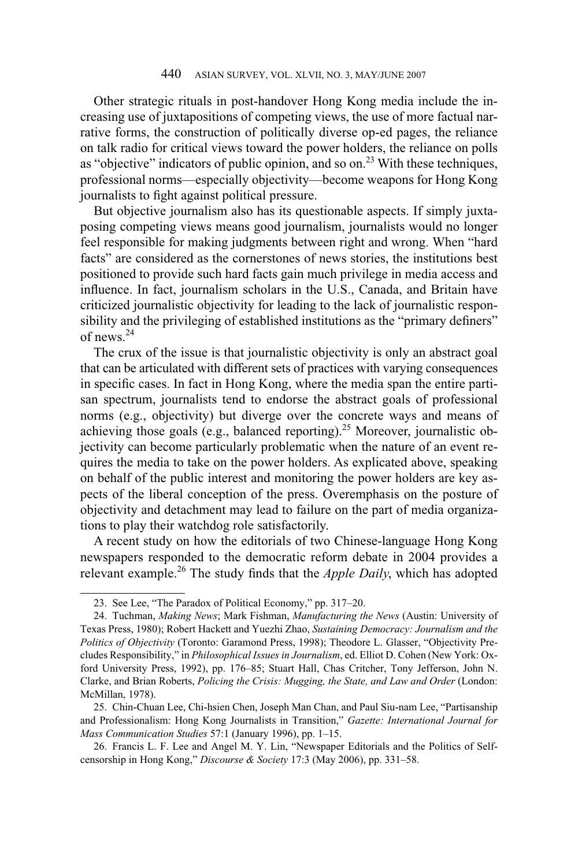Other strategic rituals in post-handover Hong Kong media include the increasing use of juxtapositions of competing views, the use of more factual narrative forms, the construction of politically diverse op-ed pages, the reliance on talk radio for critical views toward the power holders, the reliance on polls as "objective" indicators of public opinion, and so on.<sup>23</sup> With these techniques, professional norms—especially objectivity—become weapons for Hong Kong journalists to fight against political pressure.

But objective journalism also has its questionable aspects. If simply juxtaposing competing views means good journalism, journalists would no longer feel responsible for making judgments between right and wrong. When "hard facts" are considered as the cornerstones of news stories, the institutions best positioned to provide such hard facts gain much privilege in media access and influence. In fact, journalism scholars in the U.S., Canada, and Britain have criticized journalistic objectivity for leading to the lack of journalistic responsibility and the privileging of established institutions as the "primary definers" of news.<sup>24</sup>

The crux of the issue is that journalistic objectivity is only an abstract goal that can be articulated with different sets of practices with varying consequences in specific cases. In fact in Hong Kong, where the media span the entire partisan spectrum, journalists tend to endorse the abstract goals of professional norms (e.g., objectivity) but diverge over the concrete ways and means of achieving those goals (e.g., balanced reporting).25 Moreover, journalistic objectivity can become particularly problematic when the nature of an event requires the media to take on the power holders. As explicated above, speaking on behalf of the public interest and monitoring the power holders are key aspects of the liberal conception of the press. Overemphasis on the posture of objectivity and detachment may lead to failure on the part of media organizations to play their watchdog role satisfactorily.

A recent study on how the editorials of two Chinese-language Hong Kong newspapers responded to the democratic reform debate in 2004 provides a relevant example.26 The study finds that the *Apple Daily*, which has adopted

26. Francis L. F. Lee and Angel M. Y. Lin, "Newspaper Editorials and the Politics of Selfcensorship in Hong Kong," *Discourse & Society* 17:3 (May 2006), pp. 331–58.

<sup>23.</sup> See Lee, "The Paradox of Political Economy," pp. 317–20.

<sup>24.</sup> Tuchman, *Making News*; Mark Fishman, *Manufacturing the News* (Austin: University of Texas Press, 1980); Robert Hackett and Yuezhi Zhao, *Sustaining Democracy: Journalism and the Politics of Objectivity* (Toronto: Garamond Press, 1998); Theodore L. Glasser, "Objectivity Precludes Responsibility," in *Philosophical Issues in Journalism*, ed. Elliot D. Cohen (New York: Oxford University Press, 1992), pp. 176–85; Stuart Hall, Chas Critcher, Tony Jefferson, John N. Clarke, and Brian Roberts, *Policing the Crisis: Mugging, the State, and Law and Order* (London: McMillan, 1978).

<sup>25.</sup> Chin-Chuan Lee, Chi-hsien Chen, Joseph Man Chan, and Paul Siu-nam Lee, "Partisanship and Professionalism: Hong Kong Journalists in Transition," *Gazette: International Journal for Mass Communication Studies* 57:1 (January 1996), pp. 1–15.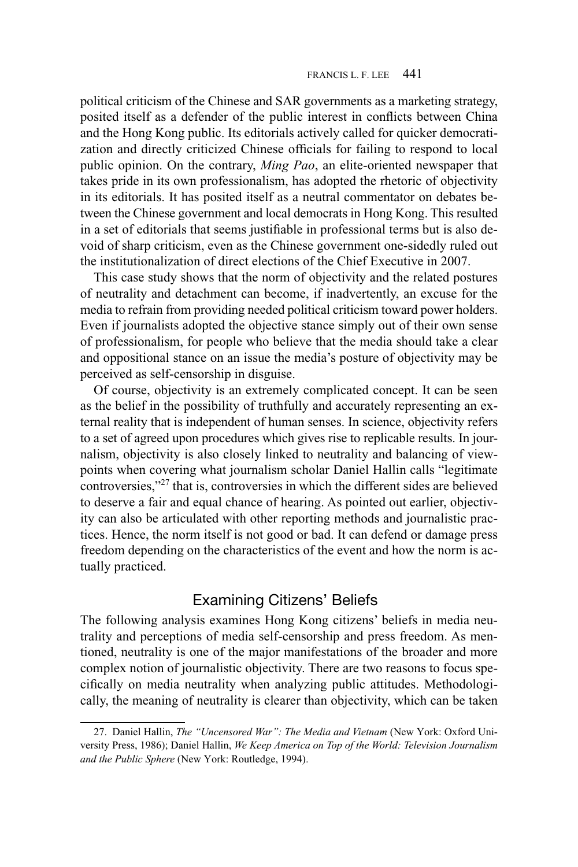political criticism of the Chinese and SAR governments as a marketing strategy, posited itself as a defender of the public interest in conflicts between China and the Hong Kong public. Its editorials actively called for quicker democratization and directly criticized Chinese officials for failing to respond to local public opinion. On the contrary, *Ming Pao*, an elite-oriented newspaper that takes pride in its own professionalism, has adopted the rhetoric of objectivity in its editorials. It has posited itself as a neutral commentator on debates between the Chinese government and local democrats in Hong Kong. This resulted in a set of editorials that seems justifiable in professional terms but is also devoid of sharp criticism, even as the Chinese government one-sidedly ruled out the institutionalization of direct elections of the Chief Executive in 2007.

This case study shows that the norm of objectivity and the related postures of neutrality and detachment can become, if inadvertently, an excuse for the media to refrain from providing needed political criticism toward power holders. Even if journalists adopted the objective stance simply out of their own sense of professionalism, for people who believe that the media should take a clear and oppositional stance on an issue the media's posture of objectivity may be perceived as self-censorship in disguise.

Of course, objectivity is an extremely complicated concept. It can be seen as the belief in the possibility of truthfully and accurately representing an external reality that is independent of human senses. In science, objectivity refers to a set of agreed upon procedures which gives rise to replicable results. In journalism, objectivity is also closely linked to neutrality and balancing of viewpoints when covering what journalism scholar Daniel Hallin calls "legitimate controversies,"27 that is, controversies in which the different sides are believed to deserve a fair and equal chance of hearing. As pointed out earlier, objectivity can also be articulated with other reporting methods and journalistic practices. Hence, the norm itself is not good or bad. It can defend or damage press freedom depending on the characteristics of the event and how the norm is actually practiced.

## Examining Citizens' Beliefs

The following analysis examines Hong Kong citizens' beliefs in media neutrality and perceptions of media self-censorship and press freedom. As mentioned, neutrality is one of the major manifestations of the broader and more complex notion of journalistic objectivity. There are two reasons to focus specifically on media neutrality when analyzing public attitudes. Methodologically, the meaning of neutrality is clearer than objectivity, which can be taken

<sup>27.</sup> Daniel Hallin, *The "Uncensored War": The Media and Vietnam* (New York: Oxford University Press, 1986); Daniel Hallin, *We Keep America on Top of the World: Television Journalism and the Public Sphere* (New York: Routledge, 1994).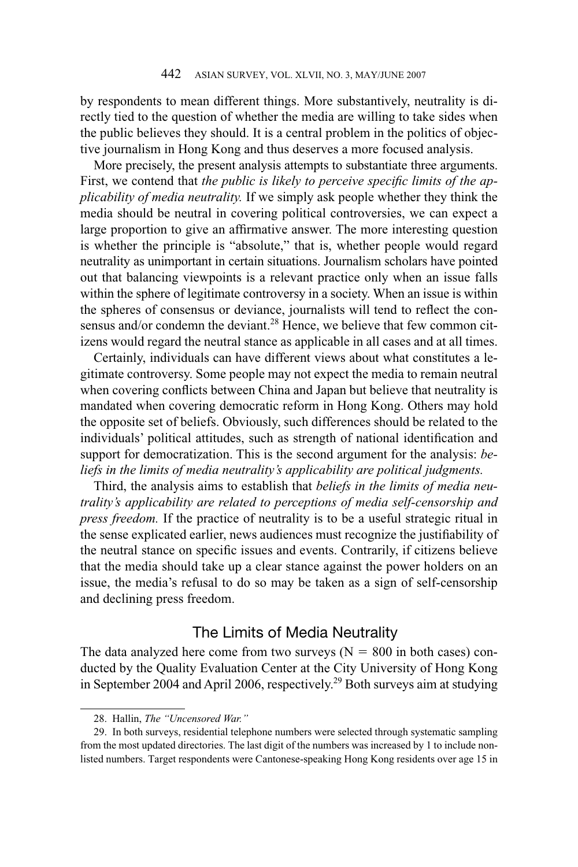by respondents to mean different things. More substantively, neutrality is directly tied to the question of whether the media are willing to take sides when the public believes they should. It is a central problem in the politics of objective journalism in Hong Kong and thus deserves a more focused analysis.

More precisely, the present analysis attempts to substantiate three arguments. First, we contend that *the public is likely to perceive specific limits of the applicability of media neutrality.* If we simply ask people whether they think the media should be neutral in covering political controversies, we can expect a large proportion to give an affirmative answer. The more interesting question is whether the principle is "absolute," that is, whether people would regard neutrality as unimportant in certain situations. Journalism scholars have pointed out that balancing viewpoints is a relevant practice only when an issue falls within the sphere of legitimate controversy in a society. When an issue is within the spheres of consensus or deviance, journalists will tend to reflect the consensus and/or condemn the deviant. $^{28}$  Hence, we believe that few common citizens would regard the neutral stance as applicable in all cases and at all times.

Certainly, individuals can have different views about what constitutes a legitimate controversy. Some people may not expect the media to remain neutral when covering conflicts between China and Japan but believe that neutrality is mandated when covering democratic reform in Hong Kong. Others may hold the opposite set of beliefs. Obviously, such differences should be related to the individuals' political attitudes, such as strength of national identification and support for democratization. This is the second argument for the analysis: *beliefs in the limits of media neutrality's applicability are political judgments.*

Third, the analysis aims to establish that *beliefs in the limits of media neutrality's applicability are related to perceptions of media self-censorship and press freedom.* If the practice of neutrality is to be a useful strategic ritual in the sense explicated earlier, news audiences must recognize the justifiability of the neutral stance on specific issues and events. Contrarily, if citizens believe that the media should take up a clear stance against the power holders on an issue, the media's refusal to do so may be taken as a sign of self-censorship and declining press freedom.

## The Limits of Media Neutrality

The data analyzed here come from two surveys  $(N = 800$  in both cases) conducted by the Quality Evaluation Center at the City University of Hong Kong in September 2004 and April 2006, respectively.<sup>29</sup> Both surveys aim at studying

<sup>28.</sup> Hallin, *The "Uncensored War."*

<sup>29.</sup> In both surveys, residential telephone numbers were selected through systematic sampling from the most updated directories. The last digit of the numbers was increased by 1 to include nonlisted numbers. Target respondents were Cantonese-speaking Hong Kong residents over age 15 in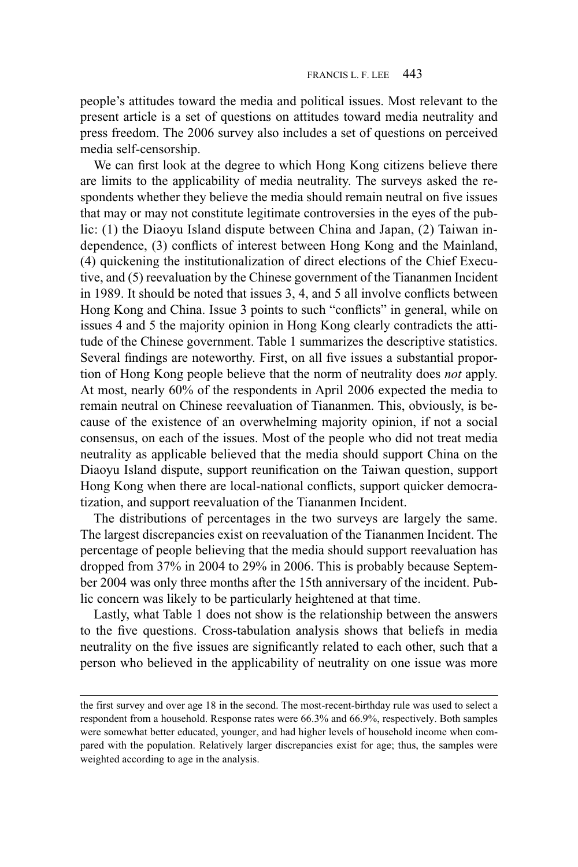people's attitudes toward the media and political issues. Most relevant to the present article is a set of questions on attitudes toward media neutrality and press freedom. The 2006 survey also includes a set of questions on perceived media self-censorship.

We can first look at the degree to which Hong Kong citizens believe there are limits to the applicability of media neutrality. The surveys asked the respondents whether they believe the media should remain neutral on five issues that may or may not constitute legitimate controversies in the eyes of the public: (1) the Diaoyu Island dispute between China and Japan, (2) Taiwan independence, (3) conflicts of interest between Hong Kong and the Mainland, (4) quickening the institutionalization of direct elections of the Chief Executive, and (5) reevaluation by the Chinese government of the Tiananmen Incident in 1989. It should be noted that issues 3, 4, and 5 all involve conflicts between Hong Kong and China. Issue 3 points to such "conflicts" in general, while on issues 4 and 5 the majority opinion in Hong Kong clearly contradicts the attitude of the Chinese government. Table 1 summarizes the descriptive statistics. Several findings are noteworthy. First, on all five issues a substantial proportion of Hong Kong people believe that the norm of neutrality does *not* apply. At most, nearly 60% of the respondents in April 2006 expected the media to remain neutral on Chinese reevaluation of Tiananmen. This, obviously, is because of the existence of an overwhelming majority opinion, if not a social consensus, on each of the issues. Most of the people who did not treat media neutrality as applicable believed that the media should support China on the Diaoyu Island dispute, support reunification on the Taiwan question, support Hong Kong when there are local-national conflicts, support quicker democratization, and support reevaluation of the Tiananmen Incident.

The distributions of percentages in the two surveys are largely the same. The largest discrepancies exist on reevaluation of the Tiananmen Incident. The percentage of people believing that the media should support reevaluation has dropped from 37% in 2004 to 29% in 2006. This is probably because September 2004 was only three months after the 15th anniversary of the incident. Public concern was likely to be particularly heightened at that time.

Lastly, what Table 1 does not show is the relationship between the answers to the five questions. Cross-tabulation analysis shows that beliefs in media neutrality on the five issues are significantly related to each other, such that a person who believed in the applicability of neutrality on one issue was more

the first survey and over age 18 in the second. The most-recent-birthday rule was used to select a respondent from a household. Response rates were 66.3% and 66.9%, respectively. Both samples were somewhat better educated, younger, and had higher levels of household income when compared with the population. Relatively larger discrepancies exist for age; thus, the samples were weighted according to age in the analysis.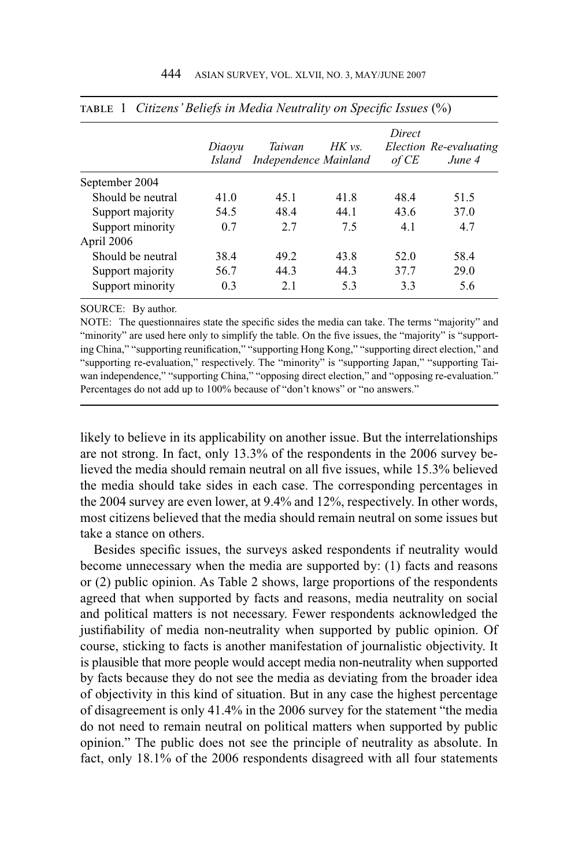| TABLE 1 Citizens' Beliefs in Media Neutrality on Specific Issues (%) |                  |                       |          |        |                                  |
|----------------------------------------------------------------------|------------------|-----------------------|----------|--------|----------------------------------|
|                                                                      |                  | Taiwan                | $HK$ vs. | Direct |                                  |
|                                                                      | Diaovu<br>Island | Independence Mainland |          | of CE  | Election Re-evaluating<br>June 4 |
| September 2004                                                       |                  |                       |          |        |                                  |
| Should be neutral                                                    | 41.0             | 45.1                  | 41.8     | 48.4   | 51.5                             |
| Support majority                                                     | 54.5             | 48.4                  | 44.1     | 43.6   | 37.0                             |
| Support minority                                                     | 0.7              | 2.7                   | 7.5      | 4.1    | 4.7                              |
| April 2006                                                           |                  |                       |          |        |                                  |
| Should be neutral                                                    | 38.4             | 49.2                  | 43.8     | 52.0   | 58.4                             |
| Support majority                                                     | 56.7             | 44.3                  | 44.3     | 37.7   | 29.0                             |
| Support minority                                                     | 0.3              | 2.1                   | 5.3      | 3.3    | 5.6                              |

#### 444 ASIAN SURVEY, VOL. XLVII, NO. 3, MAY/JUNE 2007

SOURCE: By author.

NOTE: The questionnaires state the specific sides the media can take. The terms "majority" and "minority" are used here only to simplify the table. On the five issues, the "majority" is "supporting China," "supporting reunification," "supporting Hong Kong," "supporting direct election," and "supporting re-evaluation," respectively. The "minority" is "supporting Japan," "supporting Taiwan independence," "supporting China," "opposing direct election," and "opposing re-evaluation." Percentages do not add up to 100% because of "don't knows" or "no answers."

likely to believe in its applicability on another issue. But the interrelationships are not strong. In fact, only 13.3% of the respondents in the 2006 survey believed the media should remain neutral on all five issues, while 15.3% believed the media should take sides in each case. The corresponding percentages in the 2004 survey are even lower, at 9.4% and 12%, respectively. In other words, most citizens believed that the media should remain neutral on some issues but take a stance on others.

Besides specific issues, the surveys asked respondents if neutrality would become unnecessary when the media are supported by: (1) facts and reasons or (2) public opinion. As Table 2 shows, large proportions of the respondents agreed that when supported by facts and reasons, media neutrality on social and political matters is not necessary. Fewer respondents acknowledged the justifiability of media non-neutrality when supported by public opinion. Of course, sticking to facts is another manifestation of journalistic objectivity. It is plausible that more people would accept media non-neutrality when supported by facts because they do not see the media as deviating from the broader idea of objectivity in this kind of situation. But in any case the highest percentage of disagreement is only 41.4% in the 2006 survey for the statement "the media do not need to remain neutral on political matters when supported by public opinion." The public does not see the principle of neutrality as absolute. In fact, only 18.1% of the 2006 respondents disagreed with all four statements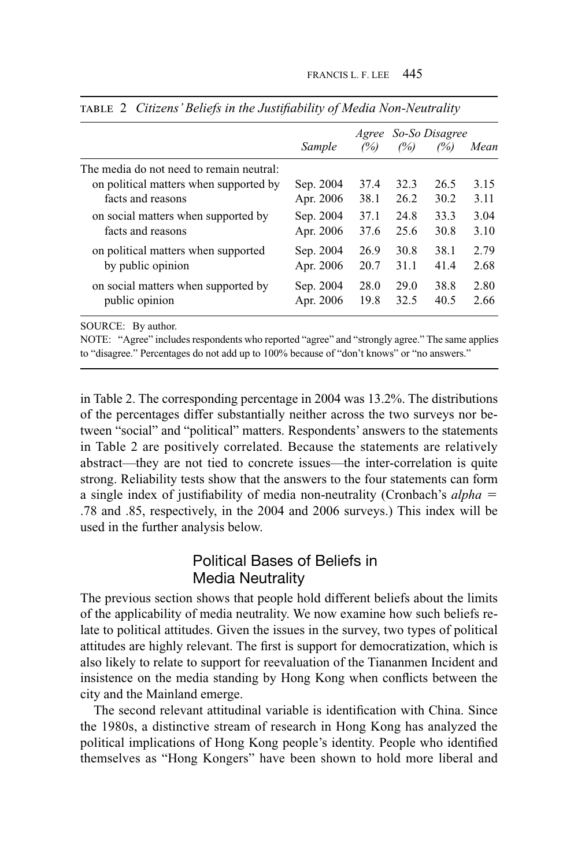|                                          |           | Agree | So-So Disagree |      |      |
|------------------------------------------|-----------|-------|----------------|------|------|
|                                          | Sample    | (%)   | (%)            | (%)  | Mean |
| The media do not need to remain neutral: |           |       |                |      |      |
| on political matters when supported by   | Sep. 2004 | 37.4  | 32.3           | 26.5 | 3.15 |
| facts and reasons                        | Apr. 2006 | 38.1  | 26.2           | 30.2 | 3.11 |
| on social matters when supported by      | Sep. 2004 | 37.1  | 24.8           | 33.3 | 3.04 |
| facts and reasons                        | Apr. 2006 | 37.6  | 25.6           | 30.8 | 3.10 |
| on political matters when supported      | Sep. 2004 | 26.9  | 30.8           | 38.1 | 2.79 |
| by public opinion                        | Apr. 2006 | 20.7  | 31.1           | 41.4 | 2.68 |
| on social matters when supported by      | Sep. 2004 | 28.0  | 29.0           | 38.8 | 2.80 |
| public opinion                           | Apr. 2006 | 19.8  | 32.5           | 40.5 | 2.66 |

table 2 *Citizens' Beliefs in the Justifiability of Media Non-Neutrality*

FRANCIS L. F. LEE 445

SOURCE: By author.

NOTE: "Agree" includes respondents who reported "agree" and "strongly agree." The same applies to "disagree." Percentages do not add up to 100% because of "don't knows" or "no answers."

in Table 2. The corresponding percentage in 2004 was 13.2%. The distributions of the percentages differ substantially neither across the two surveys nor between "social" and "political" matters. Respondents' answers to the statements in Table 2 are positively correlated. Because the statements are relatively abstract—they are not tied to concrete issues—the inter-correlation is quite strong. Reliability tests show that the answers to the four statements can form a single index of justifiability of media non-neutrality (Cronbach's *alpha* .78 and .85, respectively, in the 2004 and 2006 surveys.) This index will be used in the further analysis below.

# Political Bases of Beliefs in Media Neutrality

The previous section shows that people hold different beliefs about the limits of the applicability of media neutrality. We now examine how such beliefs relate to political attitudes. Given the issues in the survey, two types of political attitudes are highly relevant. The first is support for democratization, which is also likely to relate to support for reevaluation of the Tiananmen Incident and insistence on the media standing by Hong Kong when conflicts between the city and the Mainland emerge.

The second relevant attitudinal variable is identification with China. Since the 1980s, a distinctive stream of research in Hong Kong has analyzed the political implications of Hong Kong people's identity. People who identified themselves as "Hong Kongers" have been shown to hold more liberal and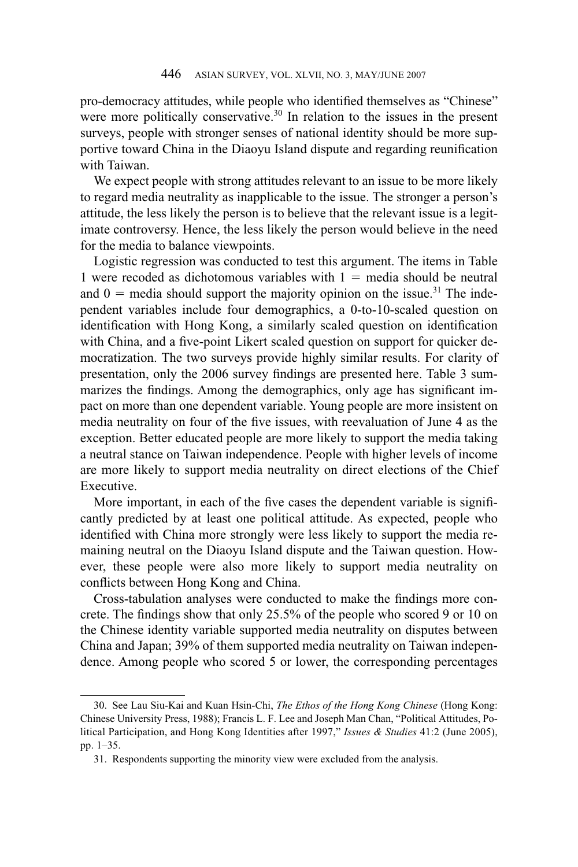pro-democracy attitudes, while people who identified themselves as "Chinese" were more politically conservative.<sup>30</sup> In relation to the issues in the present surveys, people with stronger senses of national identity should be more supportive toward China in the Diaoyu Island dispute and regarding reunification with Taiwan.

We expect people with strong attitudes relevant to an issue to be more likely to regard media neutrality as inapplicable to the issue. The stronger a person's attitude, the less likely the person is to believe that the relevant issue is a legitimate controversy. Hence, the less likely the person would believe in the need for the media to balance viewpoints.

Logistic regression was conducted to test this argument. The items in Table 1 were recoded as dichotomous variables with  $1 =$  media should be neutral and  $0 =$  media should support the majority opinion on the issue.<sup>31</sup> The independent variables include four demographics, a 0-to-10-scaled question on identification with Hong Kong, a similarly scaled question on identification with China, and a five-point Likert scaled question on support for quicker democratization. The two surveys provide highly similar results. For clarity of presentation, only the 2006 survey findings are presented here. Table 3 summarizes the findings. Among the demographics, only age has significant impact on more than one dependent variable. Young people are more insistent on media neutrality on four of the five issues, with reevaluation of June 4 as the exception. Better educated people are more likely to support the media taking a neutral stance on Taiwan independence. People with higher levels of income are more likely to support media neutrality on direct elections of the Chief Executive.

More important, in each of the five cases the dependent variable is significantly predicted by at least one political attitude. As expected, people who identified with China more strongly were less likely to support the media remaining neutral on the Diaoyu Island dispute and the Taiwan question. However, these people were also more likely to support media neutrality on conflicts between Hong Kong and China.

Cross-tabulation analyses were conducted to make the findings more concrete. The findings show that only 25.5% of the people who scored 9 or 10 on the Chinese identity variable supported media neutrality on disputes between China and Japan; 39% of them supported media neutrality on Taiwan independence. Among people who scored 5 or lower, the corresponding percentages

<sup>30.</sup> See Lau Siu-Kai and Kuan Hsin-Chi, *The Ethos of the Hong Kong Chinese* (Hong Kong: Chinese University Press, 1988); Francis L. F. Lee and Joseph Man Chan, "Political Attitudes, Political Participation, and Hong Kong Identities after 1997," *Issues & Studies* 41:2 (June 2005), pp. 1–35.

<sup>31.</sup> Respondents supporting the minority view were excluded from the analysis.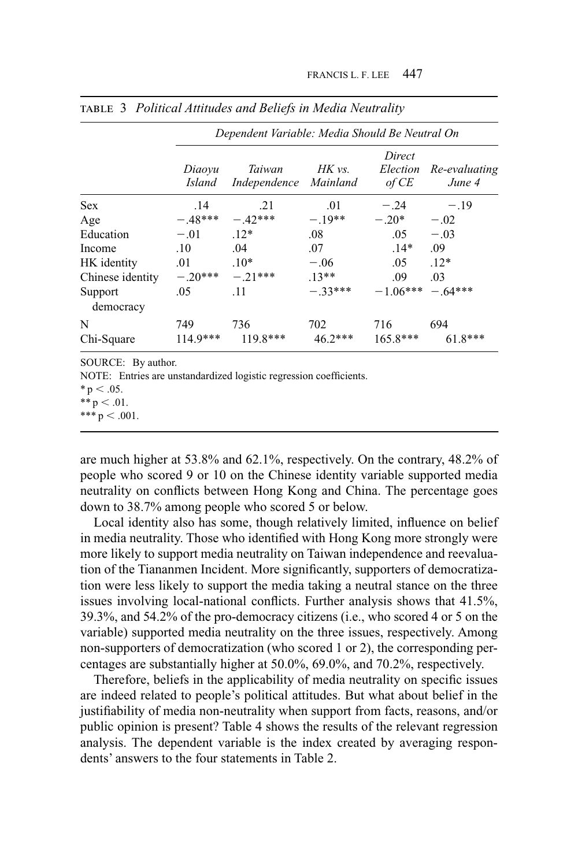| <b>TABLE 3</b> Political Attitudes and Beliefs in Media Neutrality |                                                |                                 |           |                                 |                         |
|--------------------------------------------------------------------|------------------------------------------------|---------------------------------|-----------|---------------------------------|-------------------------|
|                                                                    | Dependent Variable: Media Should Be Neutral On |                                 |           |                                 |                         |
|                                                                    | Diaovu<br><i>Island</i>                        | Taiwan<br>Independence Mainland | $HK$ vs.  | Direct<br>Election<br>$of$ $CE$ | Re-evaluating<br>June 4 |
| <b>Sex</b>                                                         | .14                                            | .21                             | .01       | $-.24$                          | $-.19$                  |
| Age                                                                | $-.48***$                                      | $-.42***$                       | $-.19**$  | $-.20*$                         | $-.02$                  |
| Education                                                          | $-.01$                                         | $.12*$                          | .08       | .05                             | $-.03$                  |
| Income                                                             | .10                                            | .04                             | .07       | $.14*$                          | .09                     |
| HK identity                                                        | .01                                            | $.10*$                          | $-.06$    | .05                             | $.12*$                  |
| Chinese identity                                                   | $-.20***$                                      | $-21***$                        | $13**$    | .09                             | .03                     |
| Support<br>democracy                                               | .05                                            | .11                             | $-33***$  | $-1.06***$                      | $-64***$                |
| N                                                                  | 749                                            | 736                             | 702       | 716                             | 694                     |
| Chi-Square                                                         | $114.9***$                                     | $119.8***$                      | $46.2***$ | $165.8***$                      | $61.8***$               |

FRANCIS L. F. LEE 447

SOURCE: By author.

NOTE: Entries are unstandardized logistic regression coefficients.

 $*{\rm p} < .05$ .

 $*$ \* $p < .01$ .

 $*** p < .001$ .

are much higher at 53.8% and 62.1%, respectively. On the contrary, 48.2% of people who scored 9 or 10 on the Chinese identity variable supported media neutrality on conflicts between Hong Kong and China. The percentage goes down to 38.7% among people who scored 5 or below.

Local identity also has some, though relatively limited, influence on belief in media neutrality. Those who identified with Hong Kong more strongly were more likely to support media neutrality on Taiwan independence and reevaluation of the Tiananmen Incident. More significantly, supporters of democratization were less likely to support the media taking a neutral stance on the three issues involving local-national conflicts. Further analysis shows that 41.5%, 39.3%, and 54.2% of the pro-democracy citizens (i.e., who scored 4 or 5 on the variable) supported media neutrality on the three issues, respectively. Among non-supporters of democratization (who scored 1 or 2), the corresponding percentages are substantially higher at 50.0%, 69.0%, and 70.2%, respectively.

Therefore, beliefs in the applicability of media neutrality on specific issues are indeed related to people's political attitudes. But what about belief in the justifiability of media non-neutrality when support from facts, reasons, and/or public opinion is present? Table 4 shows the results of the relevant regression analysis. The dependent variable is the index created by averaging respondents' answers to the four statements in Table 2.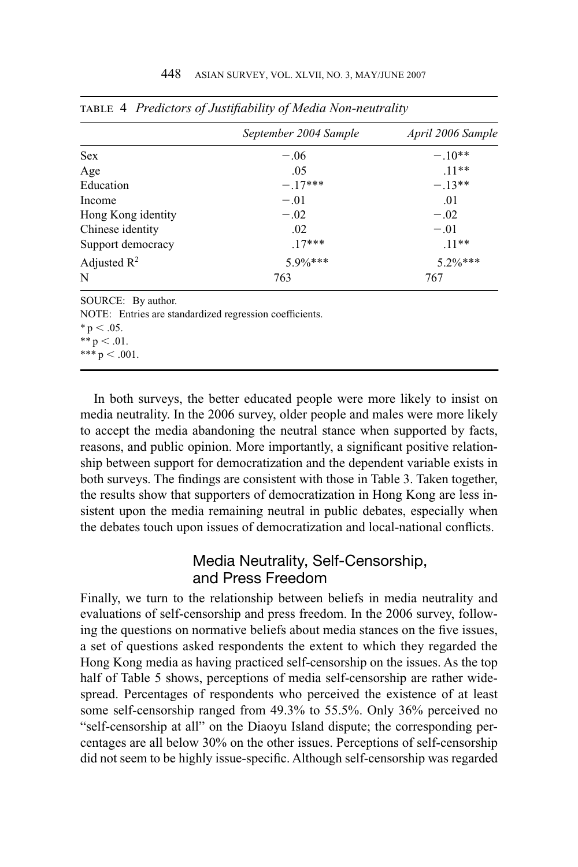|                         | September 2004 Sample | April 2006 Sample |
|-------------------------|-----------------------|-------------------|
| <b>Sex</b>              | $-.06$                | $-.10**$          |
| Age                     | .05                   | $11**$            |
| Education               | $-17***$              | $-.13**$          |
| Income                  | $-.01$                | .01               |
| Hong Kong identity      | $-.02$                | $-.02$            |
| Chinese identity        | .02                   | $-.01$            |
| Support democracy       | $.17***$              | $11**$            |
| Adjusted $\mathbb{R}^2$ | $5.9\%***$            | $5.2\%***$        |
| N                       | 763                   | 767               |

SOURCE: By author. NOTE: Entries are standardized regression coefficients.

In both surveys, the better educated people were more likely to insist on media neutrality. In the 2006 survey, older people and males were more likely to accept the media abandoning the neutral stance when supported by facts, reasons, and public opinion. More importantly, a significant positive relationship between support for democratization and the dependent variable exists in both surveys. The findings are consistent with those in Table 3. Taken together, the results show that supporters of democratization in Hong Kong are less insistent upon the media remaining neutral in public debates, especially when the debates touch upon issues of democratization and local-national conflicts.

# Media Neutrality, Self-Censorship, and Press Freedom

Finally, we turn to the relationship between beliefs in media neutrality and evaluations of self-censorship and press freedom. In the 2006 survey, following the questions on normative beliefs about media stances on the five issues, a set of questions asked respondents the extent to which they regarded the Hong Kong media as having practiced self-censorship on the issues. As the top half of Table 5 shows, perceptions of media self-censorship are rather widespread. Percentages of respondents who perceived the existence of at least some self-censorship ranged from 49.3% to 55.5%. Only 36% perceived no "self-censorship at all" on the Diaoyu Island dispute; the corresponding percentages are all below 30% on the other issues. Perceptions of self-censorship did not seem to be highly issue-specific. Although self-censorship was regarded

 $*{\rm p} < .05$ .

 $*$ \* $p < .01$ .  $*** p < .001$ .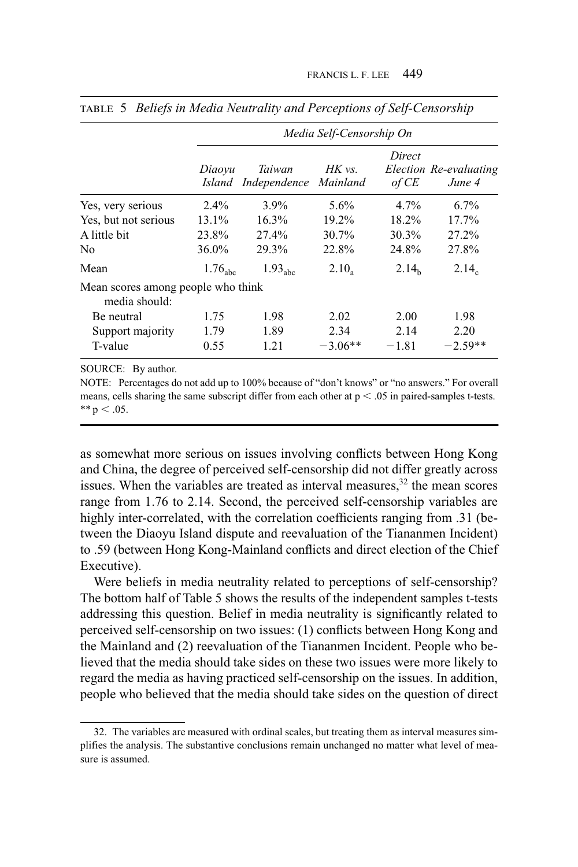|                                                     |              | Media Self-Censorship On               |                |                     |                                  |
|-----------------------------------------------------|--------------|----------------------------------------|----------------|---------------------|----------------------------------|
|                                                     | Diaovu       | Taiwan<br>Island Independence Mainland | $HK$ vs.       | Direct<br>$of$ $CE$ | Election Re-evaluating<br>June 4 |
| Yes, very serious                                   | $2.4\%$      | $3.9\%$                                | $5.6\%$        | $4.7\%$             | $6.7\%$                          |
| Yes, but not serious                                | 13.1%        | $16.3\%$                               | 19.2%          | 18.2%               | 17.7%                            |
| A little bit                                        | 23.8%        | 27.4%                                  | 30.7%          | 30.3%               | 27.2%                            |
| No                                                  | 36.0%        | 29.3%                                  | 22.8%          | 24.8%               | 27.8%                            |
| Mean                                                | $1.76_{abc}$ | 1.93 <sub>abc</sub>                    | $2.10_{\circ}$ | 2.14 <sub>h</sub>   | 2.14 <sub>c</sub>                |
| Mean scores among people who think<br>media should: |              |                                        |                |                     |                                  |
| Be neutral                                          | 1.75         | 1.98                                   | 2.02           | 2.00                | 1.98                             |
| Support majority                                    | 1.79         | 1.89                                   | 2.34           | 2.14                | 2.20                             |
| T-value                                             | 0.55         | 1.21                                   | $-3.06**$      | $-1.81$             | $-2.59**$                        |

table 5 *Beliefs in Media Neutrality and Perceptions of Self-Censorship*

SOURCE: By author.

NOTE: Percentages do not add up to 100% because of "don't knows" or "no answers." For overall means, cells sharing the same subscript differ from each other at  $p < .05$  in paired-samples t-tests.  $*$ \* $p < .05$ .

as somewhat more serious on issues involving conflicts between Hong Kong and China, the degree of perceived self-censorship did not differ greatly across issues. When the variables are treated as interval measures, $32$  the mean scores range from 1.76 to 2.14. Second, the perceived self-censorship variables are highly inter-correlated, with the correlation coefficients ranging from .31 (between the Diaoyu Island dispute and reevaluation of the Tiananmen Incident) to .59 (between Hong Kong-Mainland conflicts and direct election of the Chief Executive).

Were beliefs in media neutrality related to perceptions of self-censorship? The bottom half of Table 5 shows the results of the independent samples t-tests addressing this question. Belief in media neutrality is significantly related to perceived self-censorship on two issues: (1) conflicts between Hong Kong and the Mainland and (2) reevaluation of the Tiananmen Incident. People who believed that the media should take sides on these two issues were more likely to regard the media as having practiced self-censorship on the issues. In addition, people who believed that the media should take sides on the question of direct

<sup>32.</sup> The variables are measured with ordinal scales, but treating them as interval measures simplifies the analysis. The substantive conclusions remain unchanged no matter what level of measure is assumed.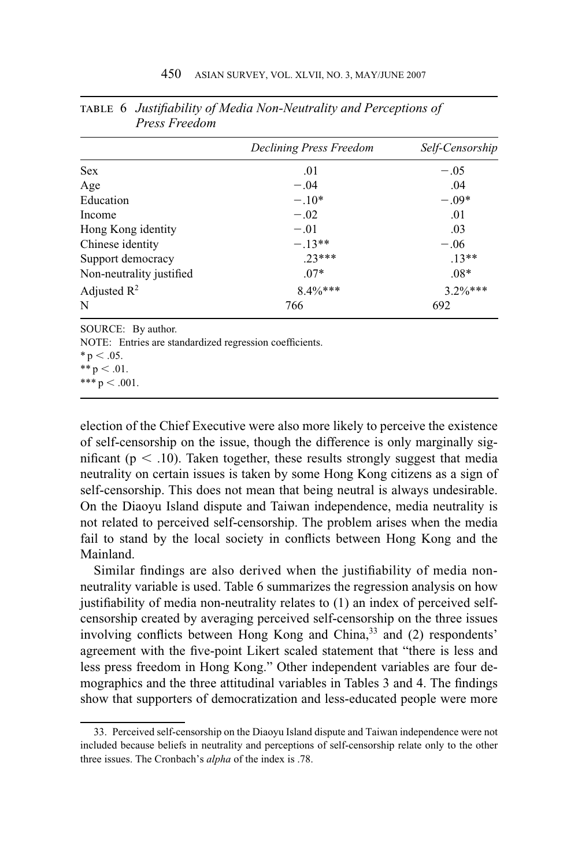|                          | Declining Press Freedom | Self-Censorship |
|--------------------------|-------------------------|-----------------|
| <b>Sex</b>               | .01                     | $-.05$          |
| Age                      | $-.04$                  | .04             |
| Education                | $-.10*$                 | $-.09*$         |
| Income                   | $-.02$                  | .01             |
| Hong Kong identity       | $-.01$                  | .03             |
| Chinese identity         | $-.13**$                | $-.06$          |
| Support democracy        | $.23***$                | $.13**$         |
| Non-neutrality justified | $.07*$                  | $.08*$          |
| Adjusted $R^2$           | $8.4\%***$              | $3.2%***$       |
| N                        | 766                     | 692             |

|  | TABLE 6 Justifiability of Media Non-Neutrality and Perceptions of |
|--|-------------------------------------------------------------------|
|  | Press Freedom                                                     |

SOURCE: By author.

NOTE: Entries are standardized regression coefficients.

election of the Chief Executive were also more likely to perceive the existence of self-censorship on the issue, though the difference is only marginally significant ( $p < .10$ ). Taken together, these results strongly suggest that media neutrality on certain issues is taken by some Hong Kong citizens as a sign of self-censorship. This does not mean that being neutral is always undesirable. On the Diaoyu Island dispute and Taiwan independence, media neutrality is not related to perceived self-censorship. The problem arises when the media fail to stand by the local society in conflicts between Hong Kong and the Mainland.

Similar findings are also derived when the justifiability of media nonneutrality variable is used. Table 6 summarizes the regression analysis on how justifiability of media non-neutrality relates to (1) an index of perceived selfcensorship created by averaging perceived self-censorship on the three issues involving conflicts between Hong Kong and China,<sup>33</sup> and (2) respondents' agreement with the five-point Likert scaled statement that "there is less and less press freedom in Hong Kong." Other independent variables are four demographics and the three attitudinal variables in Tables 3 and 4. The findings show that supporters of democratization and less-educated people were more

 $*{\rm p} < .05$ .

 $*$ \* $p < .01$ .

 $*** p < .001$ .

<sup>33.</sup> Perceived self-censorship on the Diaoyu Island dispute and Taiwan independence were not included because beliefs in neutrality and perceptions of self-censorship relate only to the other three issues. The Cronbach's *alpha* of the index is .78.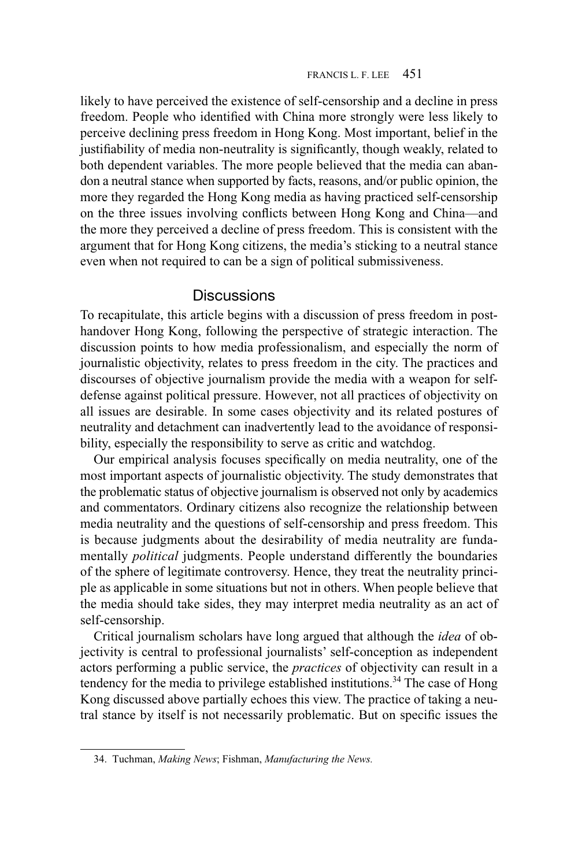likely to have perceived the existence of self-censorship and a decline in press freedom. People who identified with China more strongly were less likely to perceive declining press freedom in Hong Kong. Most important, belief in the justifiability of media non-neutrality is significantly, though weakly, related to both dependent variables. The more people believed that the media can abandon a neutral stance when supported by facts, reasons, and/or public opinion, the more they regarded the Hong Kong media as having practiced self-censorship on the three issues involving conflicts between Hong Kong and China—and the more they perceived a decline of press freedom. This is consistent with the argument that for Hong Kong citizens, the media's sticking to a neutral stance even when not required to can be a sign of political submissiveness.

#### **Discussions**

To recapitulate, this article begins with a discussion of press freedom in posthandover Hong Kong, following the perspective of strategic interaction. The discussion points to how media professionalism, and especially the norm of journalistic objectivity, relates to press freedom in the city. The practices and discourses of objective journalism provide the media with a weapon for selfdefense against political pressure. However, not all practices of objectivity on all issues are desirable. In some cases objectivity and its related postures of neutrality and detachment can inadvertently lead to the avoidance of responsibility, especially the responsibility to serve as critic and watchdog.

Our empirical analysis focuses specifically on media neutrality, one of the most important aspects of journalistic objectivity. The study demonstrates that the problematic status of objective journalism is observed not only by academics and commentators. Ordinary citizens also recognize the relationship between media neutrality and the questions of self-censorship and press freedom. This is because judgments about the desirability of media neutrality are fundamentally *political* judgments. People understand differently the boundaries of the sphere of legitimate controversy. Hence, they treat the neutrality principle as applicable in some situations but not in others. When people believe that the media should take sides, they may interpret media neutrality as an act of self-censorship.

Critical journalism scholars have long argued that although the *idea* of objectivity is central to professional journalists' self-conception as independent actors performing a public service, the *practices* of objectivity can result in a tendency for the media to privilege established institutions.<sup>34</sup> The case of Hong Kong discussed above partially echoes this view. The practice of taking a neutral stance by itself is not necessarily problematic. But on specific issues the

<sup>34.</sup> Tuchman, *Making News*; Fishman, *Manufacturing the News.*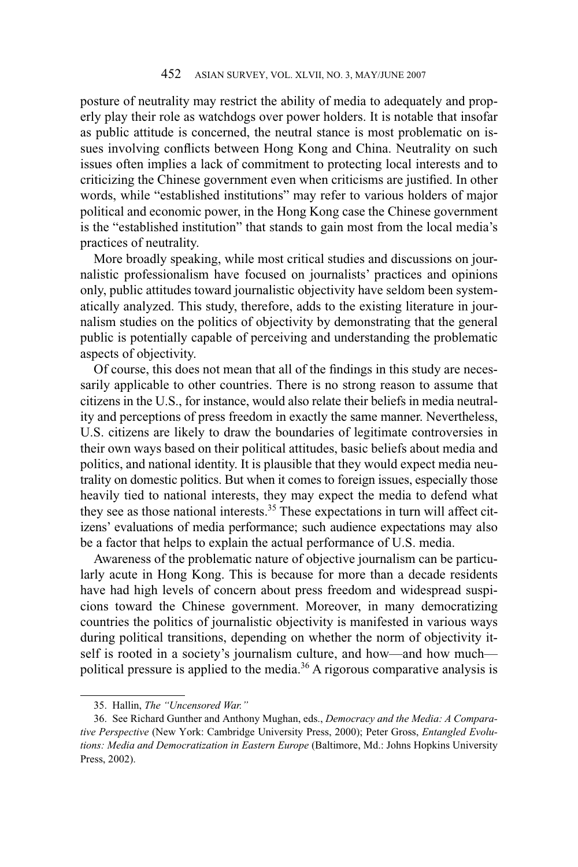#### 452 ASIAN SURVEY, VOL. XLVII, NO. 3, MAY/JUNE 2007

posture of neutrality may restrict the ability of media to adequately and properly play their role as watchdogs over power holders. It is notable that insofar as public attitude is concerned, the neutral stance is most problematic on issues involving conflicts between Hong Kong and China. Neutrality on such issues often implies a lack of commitment to protecting local interests and to criticizing the Chinese government even when criticisms are justified. In other words, while "established institutions" may refer to various holders of major political and economic power, in the Hong Kong case the Chinese government is the "established institution" that stands to gain most from the local media's practices of neutrality.

More broadly speaking, while most critical studies and discussions on journalistic professionalism have focused on journalists' practices and opinions only, public attitudes toward journalistic objectivity have seldom been systematically analyzed. This study, therefore, adds to the existing literature in journalism studies on the politics of objectivity by demonstrating that the general public is potentially capable of perceiving and understanding the problematic aspects of objectivity.

Of course, this does not mean that all of the findings in this study are necessarily applicable to other countries. There is no strong reason to assume that citizens in the U.S., for instance, would also relate their beliefs in media neutrality and perceptions of press freedom in exactly the same manner. Nevertheless, U.S. citizens are likely to draw the boundaries of legitimate controversies in their own ways based on their political attitudes, basic beliefs about media and politics, and national identity. It is plausible that they would expect media neutrality on domestic politics. But when it comes to foreign issues, especially those heavily tied to national interests, they may expect the media to defend what they see as those national interests.35 These expectations in turn will affect citizens' evaluations of media performance; such audience expectations may also be a factor that helps to explain the actual performance of U.S. media.

Awareness of the problematic nature of objective journalism can be particularly acute in Hong Kong. This is because for more than a decade residents have had high levels of concern about press freedom and widespread suspicions toward the Chinese government. Moreover, in many democratizing countries the politics of journalistic objectivity is manifested in various ways during political transitions, depending on whether the norm of objectivity itself is rooted in a society's journalism culture, and how—and how much political pressure is applied to the media.<sup>36</sup> A rigorous comparative analysis is

<sup>35.</sup> Hallin, *The "Uncensored War."*

<sup>36.</sup> See Richard Gunther and Anthony Mughan, eds., *Democracy and the Media: A Comparative Perspective* (New York: Cambridge University Press, 2000); Peter Gross, *Entangled Evolutions: Media and Democratization in Eastern Europe* (Baltimore, Md.: Johns Hopkins University Press, 2002).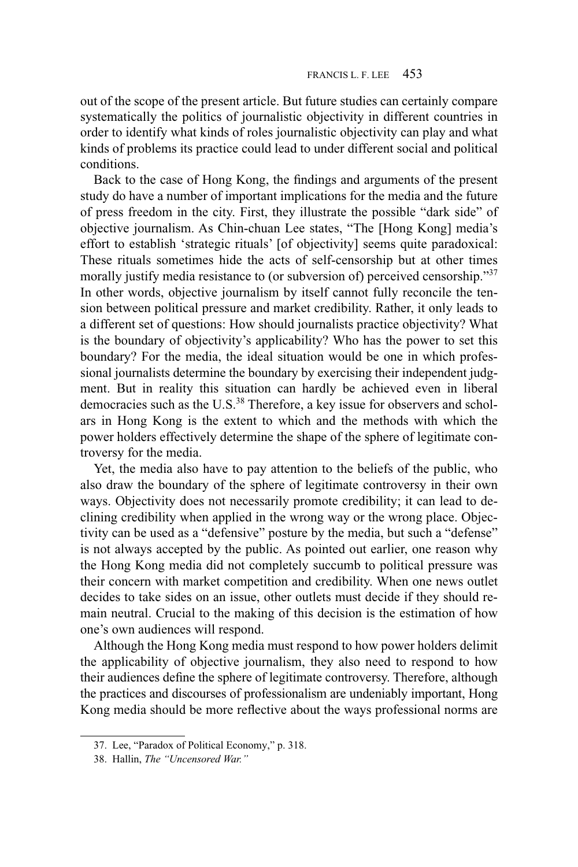out of the scope of the present article. But future studies can certainly compare systematically the politics of journalistic objectivity in different countries in order to identify what kinds of roles journalistic objectivity can play and what kinds of problems its practice could lead to under different social and political conditions.

Back to the case of Hong Kong, the findings and arguments of the present study do have a number of important implications for the media and the future of press freedom in the city. First, they illustrate the possible "dark side" of objective journalism. As Chin-chuan Lee states, "The [Hong Kong] media's effort to establish 'strategic rituals' [of objectivity] seems quite paradoxical: These rituals sometimes hide the acts of self-censorship but at other times morally justify media resistance to (or subversion of) perceived censorship."<sup>37</sup> In other words, objective journalism by itself cannot fully reconcile the tension between political pressure and market credibility. Rather, it only leads to a different set of questions: How should journalists practice objectivity? What is the boundary of objectivity's applicability? Who has the power to set this boundary? For the media, the ideal situation would be one in which professional journalists determine the boundary by exercising their independent judgment. But in reality this situation can hardly be achieved even in liberal democracies such as the U.S. $38$  Therefore, a key issue for observers and scholars in Hong Kong is the extent to which and the methods with which the power holders effectively determine the shape of the sphere of legitimate controversy for the media.

Yet, the media also have to pay attention to the beliefs of the public, who also draw the boundary of the sphere of legitimate controversy in their own ways. Objectivity does not necessarily promote credibility; it can lead to declining credibility when applied in the wrong way or the wrong place. Objectivity can be used as a "defensive" posture by the media, but such a "defense" is not always accepted by the public. As pointed out earlier, one reason why the Hong Kong media did not completely succumb to political pressure was their concern with market competition and credibility. When one news outlet decides to take sides on an issue, other outlets must decide if they should remain neutral. Crucial to the making of this decision is the estimation of how one's own audiences will respond.

Although the Hong Kong media must respond to how power holders delimit the applicability of objective journalism, they also need to respond to how their audiences define the sphere of legitimate controversy. Therefore, although the practices and discourses of professionalism are undeniably important, Hong Kong media should be more reflective about the ways professional norms are

<sup>37.</sup> Lee, "Paradox of Political Economy," p. 318.

<sup>38.</sup> Hallin, *The "Uncensored War."*